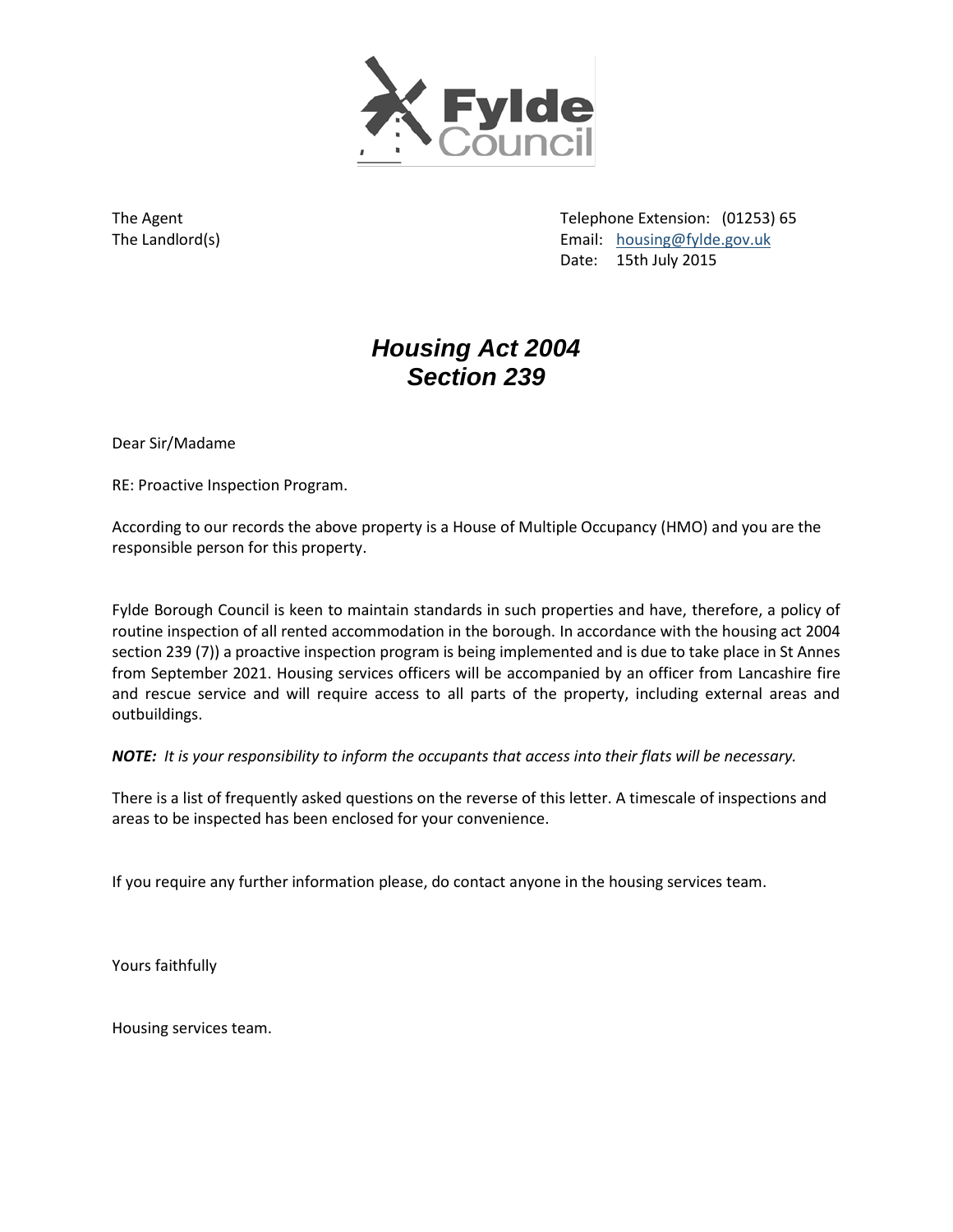

The Agent The Agent Telephone Extension: (01253) 65 The Landlord(s) example and the Landlord(s) and the Landlord(s) and the Landlord(s) and the Landlord(s) and the Landlord(s) and the Landlord(s) and the Landlord(s) and the Landlord(s) and the Landlord(s) and the Landlord(s Date: 15th July 2015

# *Housing Act 2004 Section 239*

Dear Sir/Madame

RE: Proactive Inspection Program.

According to our records the above property is a House of Multiple Occupancy (HMO) and you are the responsible person for this property.

Fylde Borough Council is keen to maintain standards in such properties and have, therefore, a policy of routine inspection of all rented accommodation in the borough. In accordance with the housing act 2004 section 239 (7)) a proactive inspection program is being implemented and is due to take place in St Annes from September 2021. Housing services officers will be accompanied by an officer from Lancashire fire and rescue service and will require access to all parts of the property, including external areas and outbuildings.

*NOTE: It is your responsibility to inform the occupants that access into their flats will be necessary.*

There is a list of frequently asked questions on the reverse of this letter. A timescale of inspections and areas to be inspected has been enclosed for your convenience.

If you require any further information please, do contact anyone in the housing services team.

Yours faithfully

Housing services team.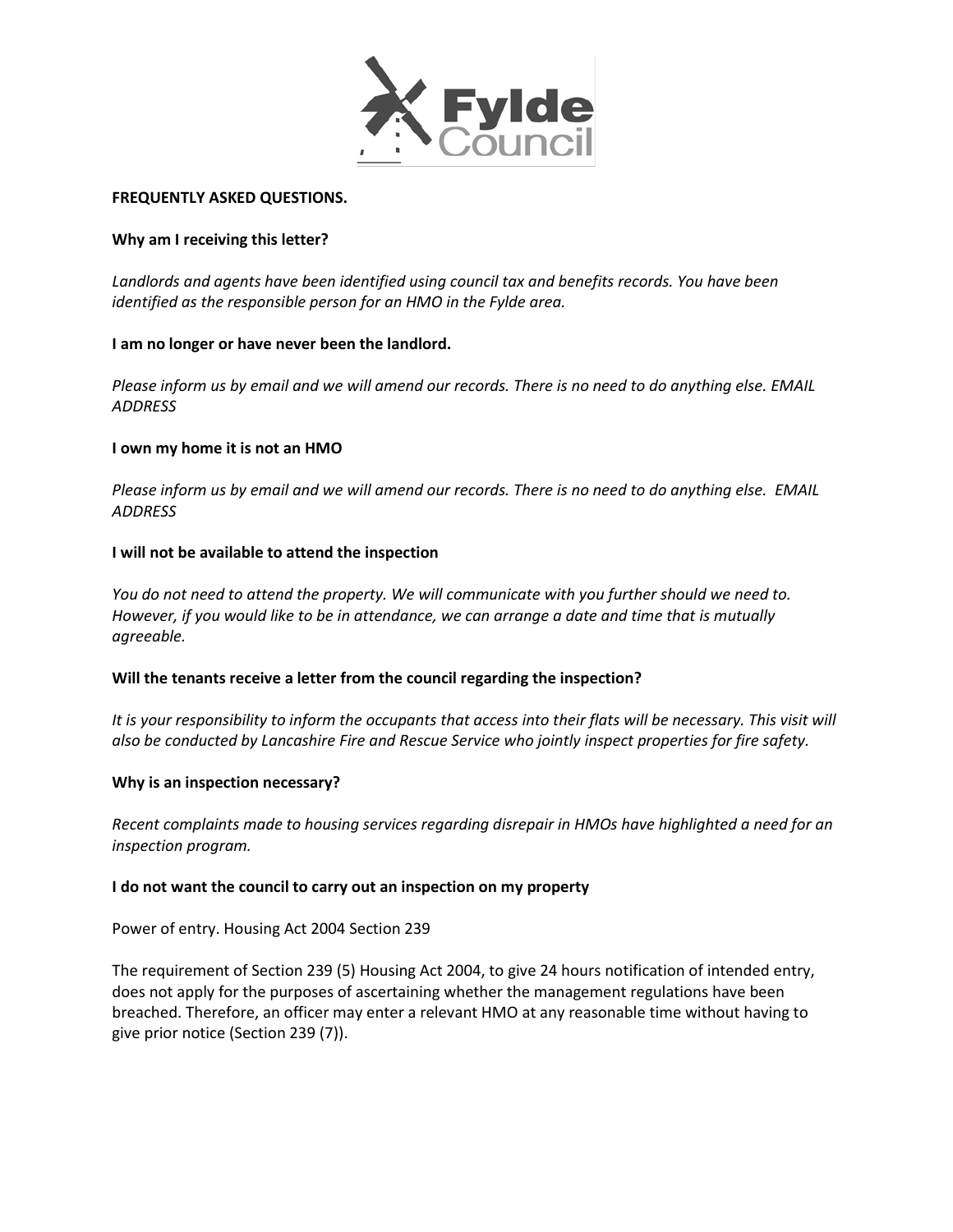

#### **FREQUENTLY ASKED QUESTIONS.**

## **Why am I receiving this letter?**

*Landlords and agents have been identified using council tax and benefits records. You have been identified as the responsible person for an HMO in the Fylde area.* 

## **I am no longer or have never been the landlord.**

*Please inform us by email and we will amend our records. There is no need to do anything else. EMAIL ADDRESS* 

## **I own my home it is not an HMO**

*Please inform us by email and we will amend our records. There is no need to do anything else. EMAIL ADDRESS*

## **I will not be available to attend the inspection**

*You do not need to attend the property. We will communicate with you further should we need to. However, if you would like to be in attendance, we can arrange a date and time that is mutually agreeable.* 

#### **Will the tenants receive a letter from the council regarding the inspection?**

*It is your responsibility to inform the occupants that access into their flats will be necessary. This visit will also be conducted by Lancashire Fire and Rescue Service who jointly inspect properties for fire safety.*

#### **Why is an inspection necessary?**

*Recent complaints made to housing services regarding disrepair in HMOs have highlighted a need for an inspection program.*

#### **I do not want the council to carry out an inspection on my property**

Power of entry. Housing Act 2004 Section 239

The requirement of Section 239 (5) Housing Act 2004, to give 24 hours notification of intended entry, does not apply for the purposes of ascertaining whether the management regulations have been breached. Therefore, an officer may enter a relevant HMO at any reasonable time without having to give prior notice (Section 239 (7)).